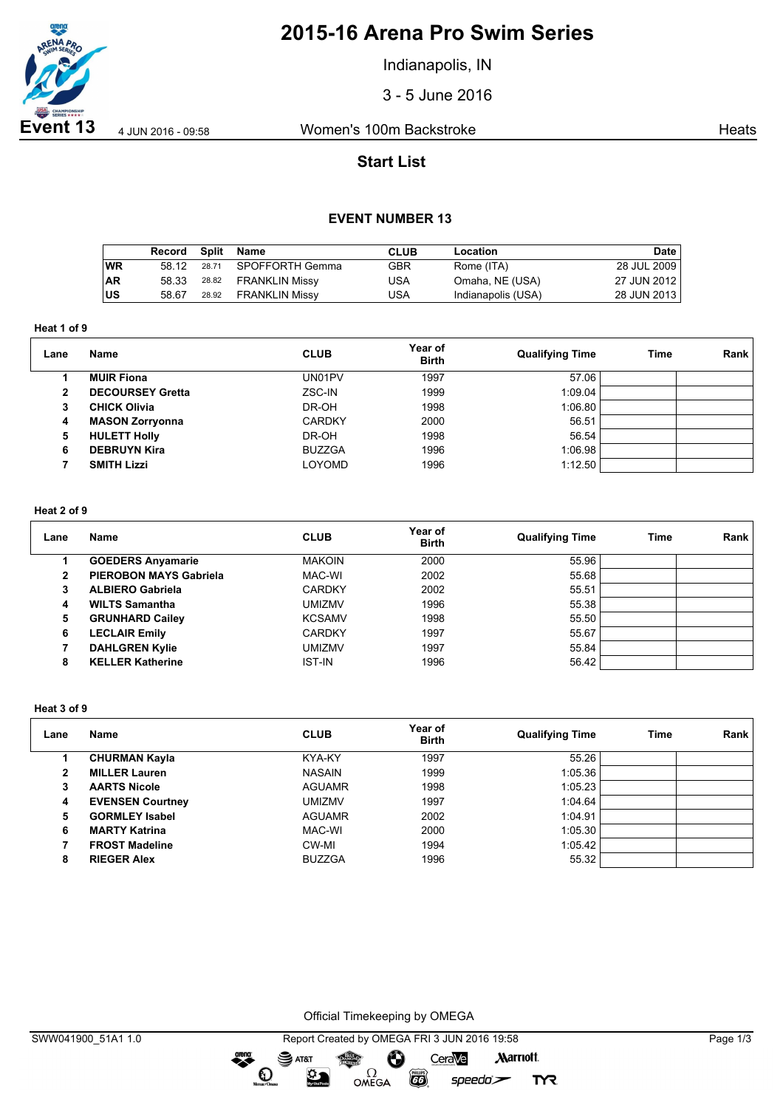

# **2015-16 Arena Pro Swim Series**

Indianapolis, IN

3 - 5 June 2016

**Event 13** 4 Jun 2016 - 09:58 Women's 100m Backstroke Heats

# **Start List**

### **EVENT NUMBER 13**

|           | Record | Split | Name                  | CLUB | Location           | Date        |
|-----------|--------|-------|-----------------------|------|--------------------|-------------|
| ∣wR       | 58.12  | 28.71 | SPOFFORTH Gemma       | GBR  | Rome (ITA)         | 28 JUL 2009 |
| <b>AR</b> | 58.33  | 28.82 | FRANKLIN Missy        | USA  | Omaha, NE (USA)    | 27 JUN 2012 |
| ∣US       | 58.67  | 28.92 | <b>FRANKLIN Missy</b> | USA  | Indianapolis (USA) | 28 JUN 2013 |

**Heat 1 of 9**

| Lane | <b>Name</b>             | <b>CLUB</b>   | Year of<br><b>Birth</b> | <b>Qualifying Time</b> | Time | Rank |
|------|-------------------------|---------------|-------------------------|------------------------|------|------|
|      | <b>MUIR Fiona</b>       | UN01PV        | 1997                    | 57.06                  |      |      |
| 2    | <b>DECOURSEY Gretta</b> | ZSC-IN        | 1999                    | 1:09.04                |      |      |
| 3    | <b>CHICK Olivia</b>     | DR-OH         | 1998                    | 1:06.80                |      |      |
| 4    | <b>MASON Zorryonna</b>  | <b>CARDKY</b> | 2000                    | 56.51                  |      |      |
| 5    | <b>HULETT Holly</b>     | DR-OH         | 1998                    | 56.54                  |      |      |
| 6    | <b>DEBRUYN Kira</b>     | <b>BUZZGA</b> | 1996                    | 1:06.98                |      |      |
|      | <b>SMITH Lizzi</b>      | <b>LOYOMD</b> | 1996                    | 1:12.50                |      |      |

### **Heat 2 of 9**

| Lane | Name                          | <b>CLUB</b>   | Year of<br><b>Birth</b> | <b>Qualifying Time</b> | Time | <b>Rank</b> |
|------|-------------------------------|---------------|-------------------------|------------------------|------|-------------|
|      | <b>GOEDERS Anyamarie</b>      | <b>MAKOIN</b> | 2000                    | 55.96                  |      |             |
| 2    | <b>PIEROBON MAYS Gabriela</b> | MAC-WI        | 2002                    | 55.68                  |      |             |
| 3    | <b>ALBIERO Gabriela</b>       | <b>CARDKY</b> | 2002                    | 55.51                  |      |             |
| 4    | <b>WILTS Samantha</b>         | UMIZMV        | 1996                    | 55.38                  |      |             |
| 5    | <b>GRUNHARD Cailey</b>        | <b>KCSAMV</b> | 1998                    | 55.50                  |      |             |
| 6    | <b>LECLAIR Emily</b>          | <b>CARDKY</b> | 1997                    | 55.67                  |      |             |
|      | <b>DAHLGREN Kylie</b>         | UMIZMV        | 1997                    | 55.84                  |      |             |
| 8    | <b>KELLER Katherine</b>       | <b>IST-IN</b> | 1996                    | 56.42                  |      |             |

#### **Heat 3 of 9**

| Lane | <b>Name</b>             | <b>CLUB</b>   | Year of<br><b>Birth</b> | <b>Qualifying Time</b> | Time | Rank |
|------|-------------------------|---------------|-------------------------|------------------------|------|------|
|      | <b>CHURMAN Kayla</b>    | KYA-KY        | 1997                    | 55.26                  |      |      |
| 2    | <b>MILLER Lauren</b>    | <b>NASAIN</b> | 1999                    | 1:05.36                |      |      |
| 3    | <b>AARTS Nicole</b>     | <b>AGUAMR</b> | 1998                    | 1:05.23                |      |      |
| 4    | <b>EVENSEN Courtney</b> | <b>UMIZMV</b> | 1997                    | 1:04.64                |      |      |
| 5    | <b>GORMLEY Isabel</b>   | <b>AGUAMR</b> | 2002                    | 1:04.91                |      |      |
| 6    | <b>MARTY Katrina</b>    | MAC-WI        | 2000                    | 1:05.30                |      |      |
|      | <b>FROST Madeline</b>   | CW-MI         | 1994                    | 1:05.42                |      |      |
| 8    | <b>RIEGER Alex</b>      | <b>BUZZGA</b> | 1996                    | 55.32                  |      |      |

Official Timekeeping by OMEGA

 $\overline{G}$ 

 $speedo$ 

**TYR** 

 $\bullet$ 

 $\mathbf O$ 

 $\sum_{n=1}^{\infty}$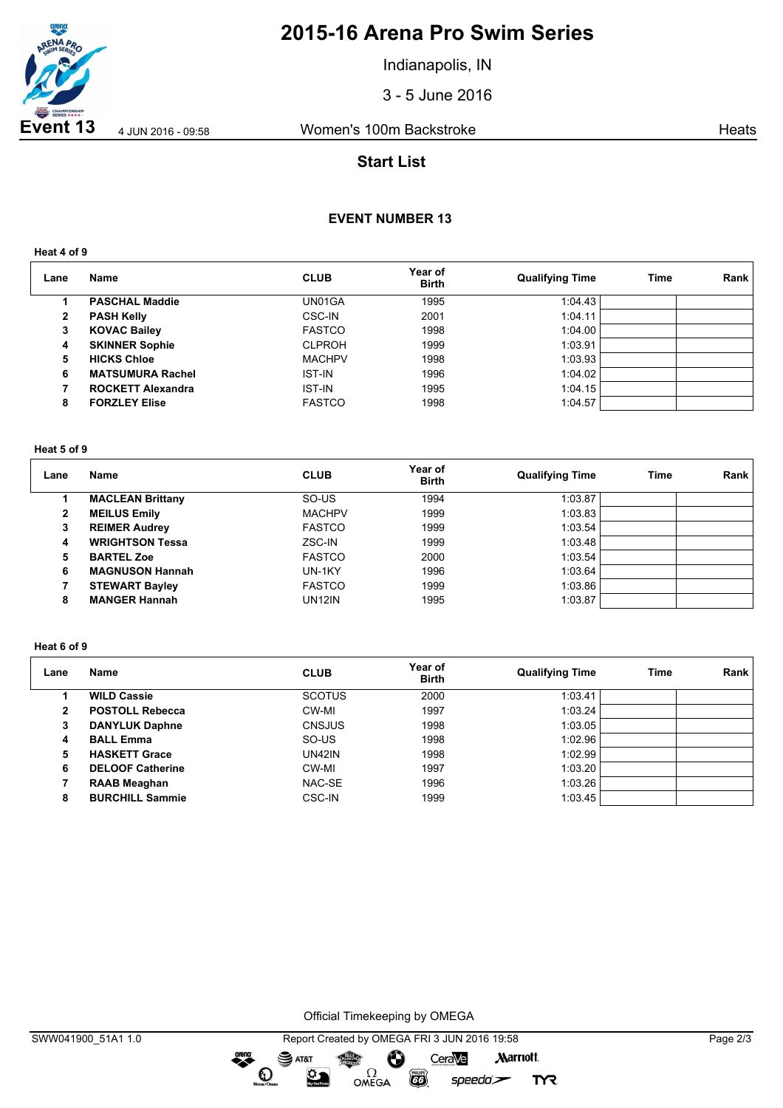

# **2015-16 Arena Pro Swim Series**

Indianapolis, IN

3 - 5 June 2016

**Event 13** 4 Jun 2016 - 09:58 Women's 100m Backstroke Heats

# **Start List**

## **EVENT NUMBER 13**

**Heat 4 of 9**

| Lane | <b>Name</b>              | <b>CLUB</b>   | Year of<br><b>Birth</b> | <b>Qualifying Time</b> | Time | Rank |
|------|--------------------------|---------------|-------------------------|------------------------|------|------|
|      | <b>PASCHAL Maddie</b>    | UN01GA        | 1995                    | 1:04.43                |      |      |
| 2    | <b>PASH Kelly</b>        | CSC-IN        | 2001                    | 1:04.11                |      |      |
| 3    | <b>KOVAC Bailey</b>      | <b>FASTCO</b> | 1998                    | 1:04.00                |      |      |
| 4    | <b>SKINNER Sophie</b>    | <b>CLPROH</b> | 1999                    | 1:03.91                |      |      |
| 5    | <b>HICKS Chloe</b>       | <b>MACHPV</b> | 1998                    | 1:03.93                |      |      |
| 6    | <b>MATSUMURA Rachel</b>  | <b>IST-IN</b> | 1996                    | 1:04.02                |      |      |
|      | <b>ROCKETT Alexandra</b> | <b>IST-IN</b> | 1995                    | 1:04.15                |      |      |
| 8    | <b>FORZLEY Elise</b>     | <b>FASTCO</b> | 1998                    | 1:04.57                |      |      |

#### **Heat 5 of 9**

| Lane         | <b>Name</b>             | <b>CLUB</b>   | Year of<br><b>Birth</b> | <b>Qualifying Time</b> | Time | Rank |
|--------------|-------------------------|---------------|-------------------------|------------------------|------|------|
|              | <b>MACLEAN Brittany</b> | SO-US         | 1994                    | 1:03.87                |      |      |
| $\mathbf{2}$ | <b>MEILUS Emily</b>     | <b>MACHPV</b> | 1999                    | 1:03.83                |      |      |
| з            | <b>REIMER Audrey</b>    | <b>FASTCO</b> | 1999                    | 1:03.54                |      |      |
| 4            | <b>WRIGHTSON Tessa</b>  | ZSC-IN        | 1999                    | 1:03.48                |      |      |
| 5            | <b>BARTEL Zoe</b>       | <b>FASTCO</b> | 2000                    | 1:03.54                |      |      |
| 6            | <b>MAGNUSON Hannah</b>  | UN-1KY        | 1996                    | 1:03.64                |      |      |
|              | <b>STEWART Bayley</b>   | <b>FASTCO</b> | 1999                    | 1:03.86                |      |      |
| 8            | <b>MANGER Hannah</b>    | <b>UN12IN</b> | 1995                    | 1:03.87                |      |      |

#### **Heat 6 of 9**

| Lane | Name                    | <b>CLUB</b>   | Year of<br><b>Birth</b> | <b>Qualifying Time</b> | Time | Rank |
|------|-------------------------|---------------|-------------------------|------------------------|------|------|
|      | <b>WILD Cassie</b>      | <b>SCOTUS</b> | 2000                    | 1:03.41                |      |      |
| 2    | <b>POSTOLL Rebecca</b>  | CW-MI         | 1997                    | 1:03.24                |      |      |
| 3    | <b>DANYLUK Daphne</b>   | <b>CNSJUS</b> | 1998                    | 1:03.05                |      |      |
| 4    | <b>BALL Emma</b>        | SO-US         | 1998                    | 1:02.96                |      |      |
| 5    | <b>HASKETT Grace</b>    | <b>UN42IN</b> | 1998                    | 1:02.99                |      |      |
| 6    | <b>DELOOF Catherine</b> | CW-MI         | 1997                    | 1:03.20                |      |      |
|      | <b>RAAB Meaghan</b>     | NAC-SE        | 1996                    | 1:03.26                |      |      |
| 8    | <b>BURCHILL Sammie</b>  | <b>CSC-IN</b> | 1999                    | 1:03.45                |      |      |

Official Timekeeping by OMEGA

 $\bullet$ 

**TYR**